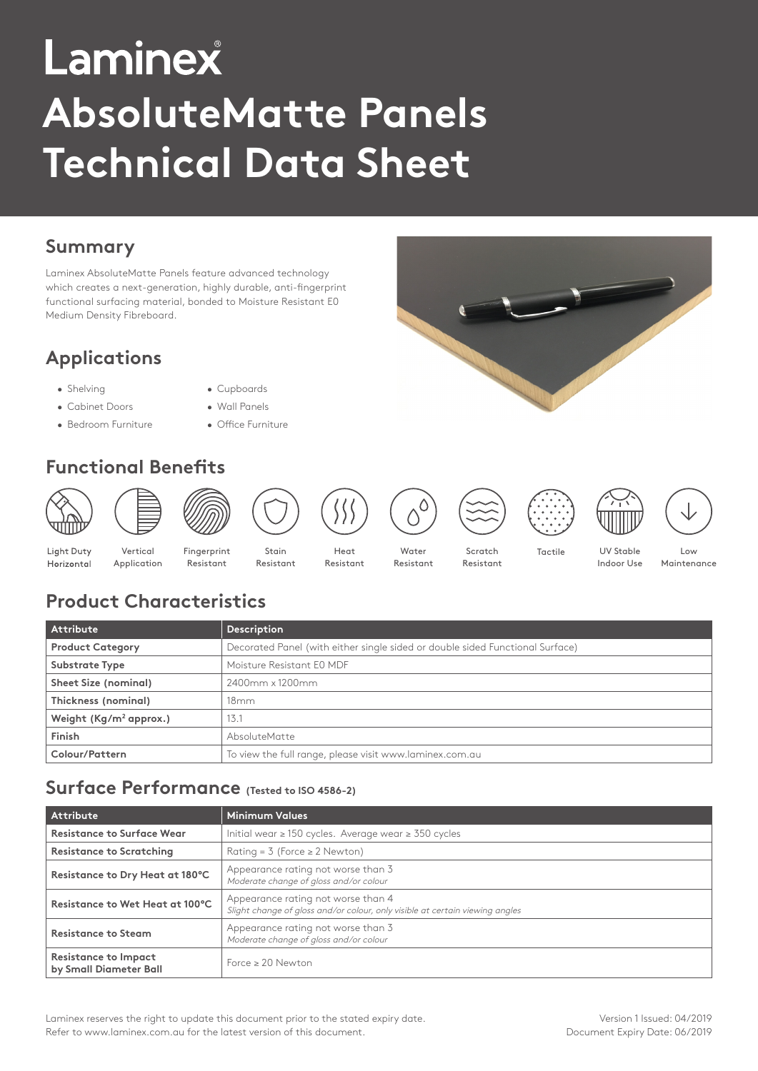# Laminex **AbsoluteMatte Panels Technical Data Sheet**

## **Summary**

Laminex AbsoluteMatte Panels feature advanced technology which creates a next-generation, highly durable, anti-fingerprint functional surfacing material, bonded to Moisture Resistant E0 Medium Density Fibreboard.

# **Applications**

- Shelving  **Cupboards**
- Cabinet Doors Wall Panels
- Bedroom Furniture Office Furniture
- 
- 
- **Functional Benefits**



# **Product Characteristics**

| Attribute                                                                                                | <b>Description</b>        |
|----------------------------------------------------------------------------------------------------------|---------------------------|
| <b>Product Category</b><br>Decorated Panel (with either single sided or double sided Functional Surface) |                           |
| <b>Substrate Type</b>                                                                                    | Moisture Resistant E0 MDF |
| Sheet Size (nominal)                                                                                     | 2400mm x 1200mm           |
| Thickness (nominal)                                                                                      | 18mm                      |
| Weight $(Kg/m^2$ approx.)                                                                                | 13.7                      |
| Finish                                                                                                   | <b>AbsoluteMatte</b>      |
| Colour/Pattern<br>To view the full range, please visit www.laminex.com.au                                |                           |

### **Surface Performance (Tested to ISO 4586-2)**

| <b>Attribute</b>                                                                                    | <b>Minimum Values</b>                                                                                              |  |
|-----------------------------------------------------------------------------------------------------|--------------------------------------------------------------------------------------------------------------------|--|
| <b>Resistance to Surface Wear</b><br>Initial wear $\geq$ 150 cycles. Average wear $\geq$ 350 cycles |                                                                                                                    |  |
| <b>Resistance to Scratching</b><br>Rating = $3$ (Force $\geq 2$ Newton)                             |                                                                                                                    |  |
| Resistance to Dry Heat at 180°C                                                                     | Appearance rating not worse than 3<br>Moderate change of gloss and/or colour                                       |  |
| Resistance to Wet Heat at 100°C                                                                     | Appearance rating not worse than 4<br>Slight change of gloss and/or colour, only visible at certain viewing angles |  |
| <b>Resistance to Steam</b>                                                                          | Appearance rating not worse than 3<br>Moderate change of gloss and/or colour                                       |  |
| <b>Resistance to Impact</b><br>by Small Diameter Ball                                               | Force $\geq 20$ Newton                                                                                             |  |

Laminex reserves the right to update this document prior to the stated expiry date. Refer to www.laminex.com.au for the latest version of this document.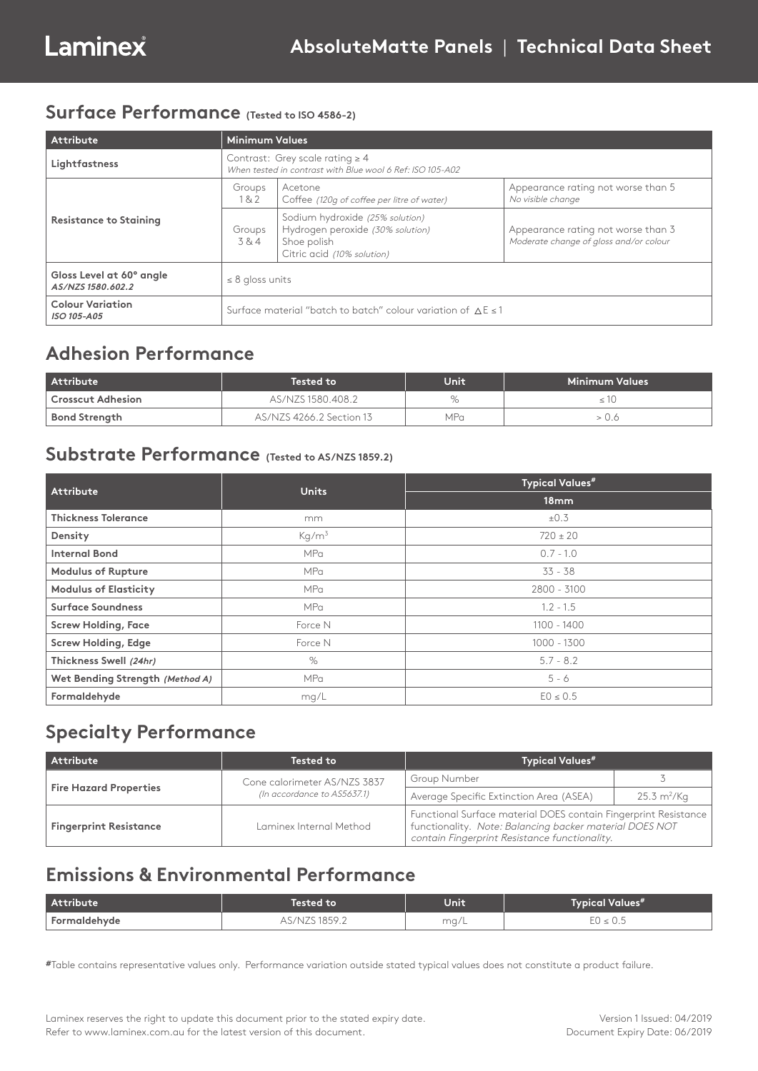#### **Surface Performance (Tested to ISO 4586-2)**

| Attribute                                     | <b>Minimum Values</b>                                                                             |                                                                                                                  |                                                                              |
|-----------------------------------------------|---------------------------------------------------------------------------------------------------|------------------------------------------------------------------------------------------------------------------|------------------------------------------------------------------------------|
| Lightfastness                                 | Contrast: Grey scale rating $\geq 4$<br>When tested in contrast with Blue wool 6 Ref: ISO 105-A02 |                                                                                                                  |                                                                              |
| <b>Resistance to Staining</b>                 | Groups<br>18.2                                                                                    | Acetone<br>Coffee (120q of coffee per litre of water)                                                            | Appearance rating not worse than 5<br>No visible change                      |
|                                               | Groups<br>3&4                                                                                     | Sodium hydroxide (25% solution)<br>Hydrogen peroxide (30% solution)<br>Shoe polish<br>Citric acid (10% solution) | Appearance rating not worse than 3<br>Moderate change of gloss and/or colour |
| Gloss Level at 60° angle<br>AS/NZS 1580.602.2 | $\leq$ 8 gloss units                                                                              |                                                                                                                  |                                                                              |
| <b>Colour Variation</b><br>ISO 105-A05        | Surface material "batch to batch" colour variation of $\Delta E \le 1$                            |                                                                                                                  |                                                                              |

#### **Adhesion Performance**

| <b>Attribute</b>     | Tested to                | Unit | Minimum Values |
|----------------------|--------------------------|------|----------------|
| Crosscut Adhesion    | AS/NZS 1580.408.2        | $\%$ |                |
| <b>Bond Strength</b> | AS/NZS 4266.2 Section 13 | MPa  |                |

#### **Substrate Performance (Tested to AS/NZS 1859.2)**

| Attribute                       | <b>Units</b>      | <b>Typical Values#</b> |  |  |
|---------------------------------|-------------------|------------------------|--|--|
|                                 |                   | 18mm                   |  |  |
| <b>Thickness Tolerance</b>      | mm                | $\pm 0.3$              |  |  |
| Density                         | Kq/m <sup>3</sup> | $720 \pm 20$           |  |  |
| <b>Internal Bond</b>            | <b>MPa</b>        | $0.7 - 1.0$            |  |  |
| <b>Modulus of Rupture</b>       | <b>MPa</b>        | $33 - 38$              |  |  |
| <b>Modulus of Elasticity</b>    | <b>MPa</b>        | 2800 - 3100            |  |  |
| <b>Surface Soundness</b>        | <b>MPa</b>        | $1.2 - 1.5$            |  |  |
| <b>Screw Holding, Face</b>      | Force N           | 1100 - 1400            |  |  |
| <b>Screw Holding, Edge</b>      | Force N           | 1000 - 1300            |  |  |
| Thickness Swell (24hr)          | $\%$              | $5.7 - 8.2$            |  |  |
| Wet Bending Strength (Method A) | <b>MPa</b>        | $5 - 6$                |  |  |
| Formaldehyde                    | mg/L              | $EO \le 0.5$           |  |  |

#### **Specialty Performance**

| <b>Attribute</b>              | <b>Tested to</b>             | <b>Typical Values#</b>                  |                                                                                                                                                                             |
|-------------------------------|------------------------------|-----------------------------------------|-----------------------------------------------------------------------------------------------------------------------------------------------------------------------------|
| <b>Fire Hazard Properties</b> | Cone calorimeter AS/NZS 3837 | Group Number                            |                                                                                                                                                                             |
|                               | (In accordance to AS5637.1)  | Average Specific Extinction Area (ASEA) | $25.3 \text{ m}^2/\text{Kq}$                                                                                                                                                |
| <b>Fingerprint Resistance</b> | Laminex Internal Method      |                                         | Functional Surface material DOES contain Fingerprint Resistance<br>functionality. Note: Balancing backer material DOES NOT<br>contain Fingerprint Resistance functionality. |

## **Emissions & Environmental Performance**

| Attribute    | Unit<br>lested to' |      | Values <sup>#</sup><br>iypical ' |  |
|--------------|--------------------|------|----------------------------------|--|
| Formaldehyde | ر ۱<br>1 U J / L   | ma/L | ◡.◡                              |  |

**#**Table contains representative values only. Performance variation outside stated typical values does not constitute a product failure.

Laminex reserves the right to update this document prior to the stated expiry date. Refer to www.laminex.com.au for the latest version of this document.